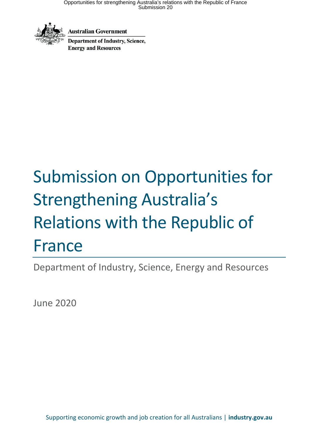

**Australian Government** 

Department of Industry, Science, **Energy and Resources** 

# Submission on Opportunities for Strengthening Australia's Relations with the Republic of France

Department of Industry, Science, Energy and Resources

June 2020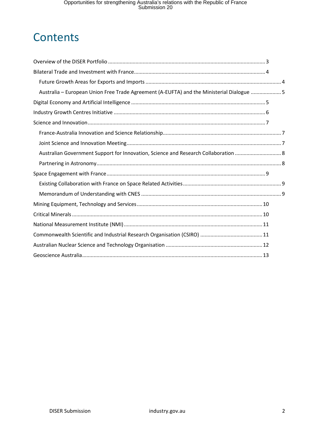# **Contents**

| Australia - European Union Free Trade Agreement (A-EUFTA) and the Ministerial Dialogue  5 |  |
|-------------------------------------------------------------------------------------------|--|
|                                                                                           |  |
|                                                                                           |  |
|                                                                                           |  |
|                                                                                           |  |
|                                                                                           |  |
| Australian Government Support for Innovation, Science and Research Collaboration  8       |  |
|                                                                                           |  |
|                                                                                           |  |
|                                                                                           |  |
|                                                                                           |  |
|                                                                                           |  |
|                                                                                           |  |
|                                                                                           |  |
|                                                                                           |  |
|                                                                                           |  |
|                                                                                           |  |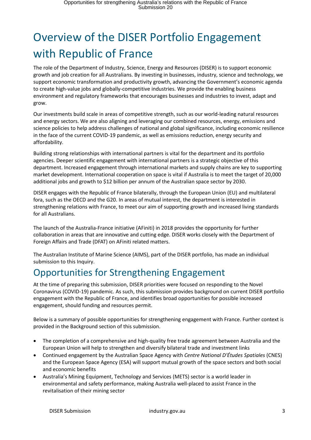# <span id="page-2-0"></span>Overview of the DISER Portfolio Engagement with Republic of France

The role of the Department of Industry, Science, Energy and Resources (DISER) is to support economic growth and job creation for all Australians. By investing in businesses, industry, science and technology, we support economic transformation and productivity growth, advancing the Government's economic agenda to create high-value jobs and globally-competitive industries. We provide the enabling business environment and regulatory frameworks that encourages businesses and industries to invest, adapt and grow.

Our investments build scale in areas of competitive strength, such as our world-leading natural resources and energy sectors. We are also aligning and leveraging our combined resources, energy, emissions and science policies to help address challenges of national and global significance, including economic resilience in the face of the current COVID-19 pandemic, as well as emissions reduction, energy security and affordability.

Building strong relationships with international partners is vital for the department and its portfolio agencies. Deeper scientific engagement with international partners is a strategic objective of this department. Increased engagement through international markets and supply chains are key to supporting market development. International cooperation on space is vital if Australia is to meet the target of 20,000 additional jobs and growth to \$12 billion per annum of the Australian space sector by 2030.

DISER engages with the Republic of France bilaterally, through the European Union (EU) and multilateral fora, such as the OECD and the G20. In areas of mutual interest, the department is interested in strengthening relations with France, to meet our aim of supporting growth and increased living standards for all Australians.

The launch of the Australia-France initiative (AFiniti) in 2018 provides the opportunity for further collaboration in areas that are innovative and cutting edge. DISER works closely with the Department of Foreign Affairs and Trade (DFAT) on AFiniti related matters.

The Australian Institute of Marine Science (AIMS), part of the DISER portfolio, has made an individual submission to this Inquiry.

## Opportunities for Strengthening Engagement

At the time of preparing this submission, DISER priorities were focused on responding to the Novel Coronavirus (COVID-19) pandemic. As such, this submission provides background on current DISER portfolio engagement with the Republic of France, and identifies broad opportunities for possible increased engagement, should funding and resources permit.

Below is a summary of possible opportunities for strengthening engagement with France. Further context is provided in the Background section of this submission.

- The completion of a comprehensive and high-quality free trade agreement between Australia and the European Union will help to strengthen and diversify bilateral trade and investment links
- Continued engagement by the Australian Space Agency with *Centre National D'Études Spatiales* (CNES) and the European Space Agency (ESA) will support mutual growth of the space sectors and both social and economic benefits
- Australia's Mining Equipment, Technology and Services (METS) sector is a world leader in environmental and safety performance, making Australia well-placed to assist France in the revitalisation of their mining sector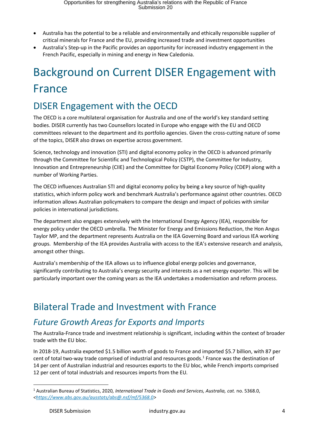- Australia has the potential to be a reliable and environmentally and ethically responsible supplier of critical minerals for France and the EU, providing increased trade and investment opportunities
- Australia's Step-up in the Pacific provides an opportunity for increased industry engagement in the French Pacific, especially in mining and energy in New Caledonia.

# <span id="page-3-0"></span>Background on Current DISER Engagement with France

#### DISER Engagement with the OECD

The OECD is a core multilateral organisation for Australia and one of the world's key standard setting bodies. DISER currently has two Counsellors located in Europe who engage with the EU and OECD committees relevant to the department and its portfolio agencies. Given the cross-cutting nature of some of the topics, DISER also draws on expertise across government.

Science, technology and innovation (STI) and digital economy policy in the OECD is advanced primarily through the Committee for Scientific and Technological Policy (CSTP), the Committee for Industry, Innovation and Entrepreneurship (CIIE) and the Committee for Digital Economy Policy (CDEP) along with a number of Working Parties.

The OECD influences Australian STI and digital economy policy by being a key source of high-quality statistics, which inform policy work and benchmark Australia's performance against other countries. OECD information allows Australian policymakers to compare the design and impact of policies with similar policies in international jurisdictions.

The department also engages extensively with the International Energy Agency (IEA), responsible for energy policy under the OECD umbrella. The Minister for Energy and Emissions Reduction, the Hon Angus Taylor MP, and the department represents Australia on the IEA Governing Board and various IEA working groups. Membership of the IEA provides Australia with access to the IEA's extensive research and analysis, amongst other things.

Australia's membership of the IEA allows us to influence global energy policies and governance, significantly contributing to Australia's energy security and interests as a net energy exporter. This will be particularly important over the coming years as the IEA undertakes a modernisation and reform process.

#### Bilateral Trade and Investment with France

#### <span id="page-3-1"></span>*Future Growth Areas for Exports and Imports*

The Australia-France trade and investment relationship is significant, including within the context of broader trade with the EU bloc.

In 2018-19, Australia exported \$1.5 billion worth of goods to France and imported \$5.7 billion, with 87 per cent of total two-way trade comprised of industrial and resources goods. 1 France was the destination of 14 per cent of Australian industrial and resources exports to the EU bloc, while French imports comprised 12 per cent of total industrials and resources imports from the EU.

 $\overline{a}$ 

<sup>1</sup> Australian Bureau of Statistics, 2020*, International Trade in Goods and Services, Australia, cat.* no. 5368.0, *[<https://www.abs.gov.au/ausstats/abs@.nsf/mf/5368.0>](https://www.abs.gov.au/ausstats/abs@.nsf/mf/5368.0)*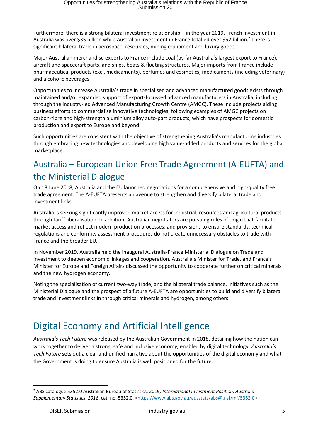Furthermore, there is a strong bilateral investment relationship – in the year 2019, French investment in Australia was over \$35 billion while Australian investment in France totalled over \$52 billion.<sup>2</sup> There is significant bilateral trade in aerospace, resources, mining equipment and luxury goods.

Major Australian merchandise exports to France include coal (by far Australia's largest export to France), aircraft and spacecraft parts, and ships, boats & floating structures. Major imports from France include pharmaceutical products (excl. medicaments), perfumes and cosmetics, medicaments (including veterinary) and alcoholic beverages.

Opportunities to increase Australia's trade in specialised and advanced manufactured goods exists through maintained and/or expanded support of export-focussed advanced manufacturers in Australia, including through the industry-led Advanced Manufacturing Growth Centre (AMGC). These include projects aiding business efforts to commercialise innovative technologies, following examples o[f AMGC projects](https://www.amgc.org.au/wp-content/uploads/2019/07/Projects_annual_report_2019.pdf) on carbon-fibre and high-strength aluminium alloy auto-part products, which have prospects for domestic production and export to Europe and beyond.

Such opportunities are consistent with the objective of strengthening Australia's manufacturing industries through embracing new technologies and developing high value-added products and services for the global marketplace.

#### <span id="page-4-0"></span>Australia – European Union Free Trade Agreement (A-EUFTA) and the Ministerial Dialogue

On 18 June 2018, Australia and the EU launched negotiations for a comprehensive and high-quality free trade agreement. The A-EUFTA presents an avenue to strengthen and diversify bilateral trade and investment links.

Australia is seeking significantly improved market access for industrial, resources and agricultural products through tariff liberalisation. In addition, Australian negotiators are pursuing rules of origin that facilitate market access and reflect modern production processes; and provisions to ensure standards, technical regulations and conformity assessment procedures do not create unnecessary obstacles to trade with France and the broader EU.

In November 2019, Australia held the inaugural Australia-France Ministerial Dialogue on Trade and Investment to deepen economic linkages and cooperation. Australia's Minister for Trade, and France's Minister for Europe and Foreign Affairs discussed the opportunity to cooperate further on critical minerals and the new hydrogen economy.

Noting the specialisation of current two-way trade, and the bilateral trade balance, initiatives such as the Ministerial Dialogue and the prospect of a future A-EUFTA are opportunities to build and diversify bilateral trade and investment links in through critical minerals and hydrogen, among others.

## <span id="page-4-1"></span>Digital Economy and Artificial Intelligence

*Australia's Tech Future* was released by the Australian Government in 2018, detailing how the nation can work together to deliver a strong, safe and inclusive economy, enabled by digital technology. *Australia's Tech Future* sets out a clear and unified narrative about the opportunities of the digital economy and what the Government is doing to ensure Australia is well positioned for the future.

 $\overline{\phantom{a}}$ 

<sup>2</sup> ABS catalogue 5352.0 Australian Bureau of Statistics, 2019*, International Investment Position, Australia: Supplementary Statistics, 2018*, cat. no. 5352.0, [<https://www.abs.gov.au/ausstats/abs@.nsf/mf/5352.0>](https://www.abs.gov.au/ausstats/abs@.nsf/mf/5352.0)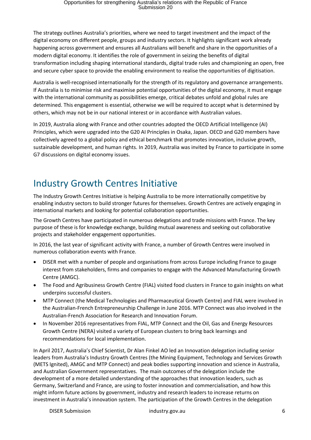The strategy outlines Australia's priorities, where we need to target investment and the impact of the digital economy on different people, groups and industry sectors. It highlights significant work already happening across government and ensures all Australians will benefit and share in the opportunities of a modern digital economy. It identifies the role of government in seizing the benefits of digital transformation including shaping international standards, digital trade rules and championing an open, free and secure cyber space to provide the enabling environment to realise the opportunities of digitisation.

Australia is well-recognised internationally for the strength of its regulatory and governance arrangements. If Australia is to minimise risk and maximise potential opportunities of the digital economy, it must engage with the international community as possibilities emerge, critical debates unfold and global rules are determined. This engagement is essential, otherwise we will be required to accept what is determined by others, which may not be in our national interest or in accordance with Australian values.

In 2019, Australia along with France and other countries adopted the OECD Artificial Intelligence (AI) Principles, which were upgraded into the G20 AI Principles in Osaka, Japan. OECD and G20 members have collectively agreed to a global policy and ethical benchmark that promotes innovation, inclusive growth, sustainable development, and human rights. In 2019, Australia was invited by France to participate in some G7 discussions on digital economy issues.

## <span id="page-5-0"></span>Industry Growth Centres Initiative

The Industry Growth Centres Initiative is helping Australia to be more internationally competitive by enabling industry sectors to build stronger futures for themselves. Growth Centres are actively engaging in international markets and looking for potential collaboration opportunities.

The Growth Centres have participated in numerous delegations and trade missions with France. The key purpose of these is for knowledge exchange, building mutual awareness and seeking out collaborative projects and stakeholder engagement opportunities.

In 2016, the last year of significant activity with France, a number of Growth Centres were involved in numerous collaboration events with France.

- DISER met with a number of people and organisations from across Europe including France to gauge interest from stakeholders, firms and companies to engage with the Advanced Manufacturing Growth Centre (AMGC).
- The Food and Agribusiness Growth Centre (FIAL) visited food clusters in France to gain insights on what underpins successful clusters.
- MTP Connect (the Medical Technologies and Pharmaceutical Growth Centre) and FIAL were involved in the Australian-French Entrepreneurship Challenge in June 2016. MTP Connect was also involved in the Australian-French Association for Research and Innovation Forum.
- In November 2016 representatives from FIAL, MTP Connect and the Oil, Gas and Energy Resources Growth Centre (NERA) visited a variety of European clusters to bring back learnings and recommendations for local implementation.

In April 2017, Australia's Chief Scientist, Dr Alan Finkel AO led an Innovation delegation including senior leaders from Australia's Industry Growth Centres (the Mining Equipment, Technology and Services Growth (METS Ignited), AMGC and MTP Connect) and peak bodies supporting innovation and science in Australia, and Australian Government representatives. The main outcomes of the delegation include the development of a more detailed understanding of the approaches that innovation leaders, such as Germany, Switzerland and France, are using to foster innovation and commercialisation, and how this might inform future actions by government, industry and research leaders to increase returns on investment in Australia's innovation system. The participation of the Growth Centres in the delegation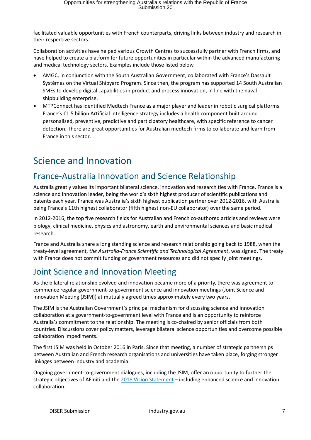facilitated valuable opportunities with French counterparts, driving links between industry and research in their respective sectors.

Collaboration activities have helped various Growth Centres to successfully partner with French firms, and have helped to create a platform for future opportunities in particular within the advanced manufacturing and medical technology sectors. Examples include those listed below.

- AMGC, in conjunction with the South Australian Government, collaborated with France's Dassault Systèmes on the Virtual Shipyard Program. Since then, the program has supported 14 South Australian SMEs to develop digital capabilities in product and process innovation, in line with the naval shipbuilding enterprise.
- MTPConnect has identified Medtech France as a major player and leader in robotic surgical platforms. France's €1.5 billion Artificial Intelligence strategy includes a health component built around personalised, preventive, predictive and participatory healthcare, with specific reference to cancer detection. There are great opportunities for Australian medtech firms to collaborate and learn from France in this sector.

#### <span id="page-6-0"></span>Science and Innovation

#### <span id="page-6-1"></span>France-Australia Innovation and Science Relationship

Australia greatly values its important bilateral science, innovation and research ties with France. France is a science and innovation leader, being the world's sixth highest producer of scientific publications and patents each year. France was Australia's sixth highest publication partner over 2012-2016, with Australia being France's 11th highest collaborator (fifth highest non-EU collaborator) over the same period.

In 2012-2016, the top five research fields for Australian and French co-authored articles and reviews were biology, clinical medicine, physics and astronomy, earth and environmental sciences and basic medical research.

France and Australia share a long standing science and research relationship going back to 1988, when the treaty-level agreement, *the Australia-France Scientific and Technological Agreement*, was signed. The treaty with France does not commit funding or government resources and did not specify joint meetings.

#### <span id="page-6-2"></span>Joint Science and Innovation Meeting

As the bilateral relationship evolved and innovation became more of a priority, there was agreement to commence regular government-to-government science and innovation meetings (Joint Science and Innovation Meeting (JSIM)) at mutually agreed times approximately every two years.

The JSIM is the Australian Government's principal mechanism for discussing science and innovation collaboration at a government-to-government level with France and is an opportunity to reinforce Australia's commitment to the relationship. The meeting is co-chaired by senior officials from both countries. Discussions cover policy matters, leverage bilateral science opportunities and overcome possible collaboration impediments.

The first JSIM was held in October 2016 in Paris. Since that meeting, a number of strategic partnerships between Australian and French research organisations and universities have taken place, forging stronger linkages between industry and academia.

Ongoing government-to-government dialogues, including the JSIM, offer an opportunity to further the strategic objectives of AFiniti and the [2018 Vision Statement](https://www.dfat.gov.au/geo/france/Pages/vision-statement-on-the-australia-france-relationship) - including enhanced science and innovation collaboration.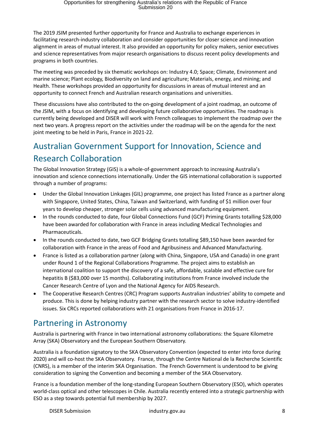The 2019 JSIM presented further opportunity for France and Australia to exchange experiences in facilitating research-industry collaboration and consider opportunities for closer science and innovation alignment in areas of mutual interest. It also provided an opportunity for policy makers, senior executives and science representatives from major research organisations to discuss recent policy developments and programs in both countries.

The meeting was preceded by six thematic workshops on: Industry 4.0; Space; Climate, Environment and marine science; Plant ecology, Biodiversity on land and agriculture; Materials, energy, and mining; and Health. These workshops provided an opportunity for discussions in areas of mutual interest and an opportunity to connect French and Australian research organisations and universities.

These discussions have also contributed to the on-going development of a joint roadmap, an outcome of the JSIM, with a focus on identifying and developing future collaborative opportunities. The roadmap is currently being developed and DISER will work with French colleagues to implement the roadmap over the next two years. A progress report on the activities under the roadmap will be on the agenda for the next joint meeting to be held in Paris, France in 2021-22.

#### <span id="page-7-0"></span>Australian Government Support for Innovation, Science and Research Collaboration

The Global Innovation Strategy (GIS) is a whole-of-government approach to increasing Australia's innovation and science connections internationally. Under the GIS international collaboration is supported through a number of programs:

- Under the Global Innovation Linkages (GIL) programme, one project has listed France as a partner along with Singapore, United States, China, Taiwan and Switzerland, with funding of \$1 million over four years to develop cheaper, stronger solar cells using advanced manufacturing equipment.
- In the rounds conducted to date, four Global Connections Fund (GCF) Priming Grants totalling \$28,000 have been awarded for collaboration with France in areas including Medical Technologies and Pharmaceuticals.
- In the rounds conducted to date, two GCF Bridging Grants totalling \$89,150 have been awarded for collaboration with France in the areas of Food and Agribusiness and Advanced Manufacturing.
- France is listed as a collaboration partner (along with China, Singapore, USA and Canada) in one grant under Round 1 of the Regional Collaborations Programme. The project aims to establish an international coalition to support the discovery of a safe, affordable, scalable and effective cure for hepatitis B (\$83,000 over 15 months). Collaborating institutions from France involved include the Cancer Research Centre of Lyon and the National Agency for AIDS Research.
- The [Cooperative Research Centres \(CRC\) Program](https://www.business.gov.au/assistance/cooperative-research-centres-programme) supports Australian industries' ability to compete and produce. This is done by helping industry partner with the research sector to solve industry-identified issues. Six CRCs reported collaborations with 21 organisations from France in 2016-17.

#### <span id="page-7-1"></span>Partnering in Astronomy

Australia is partnering with France in two international astronomy collaborations: the Square Kilometre Array (SKA) Observatory and the European Southern Observatory.

Australia is a foundation signatory to the SKA Observatory Convention (expected to enter into force during 2020) and will co-host the SKA Observatory. France, through the Centre National de la Recherche Scientific (CNRS), is a member of the interim SKA Organisation. The French Government is understood to be giving consideration to signing the Convention and becoming a member of the SKA Observatory.

France is a foundation member of the long-standing European Southern Observatory (ESO), which operates world-class optical and other telescopes in Chile. Australia recently entered into a strategic partnership with ESO as a step towards potential full membership by 2027.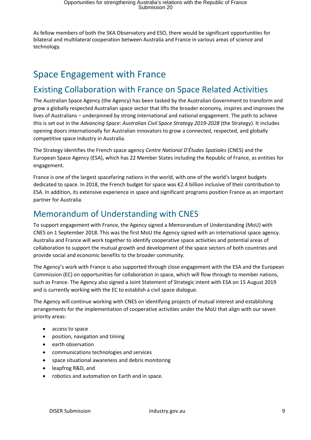As fellow members of both the SKA Observatory and ESO, there would be significant opportunities for bilateral and multilateral cooperation between Australia and France in various areas of science and technology.

## <span id="page-8-0"></span>Space Engagement with France

#### <span id="page-8-1"></span>Existing Collaboration with France on Space Related Activities

The Australian Space Agency (the Agency) has been tasked by the Australian Government to transform and grow a globally respected Australian space sector that lifts the broader economy, inspires and improves the lives of Australians – underpinned by strong international and national engagement. The path to achieve this is set out in the *Advancing Space: Australian Civil Space Strategy 2019-2028* (the Strategy). It includes opening doors internationally for Australian innovators to grow a connected, respected, and globally competitive space industry in Australia.

The Strategy identifies the French space agency *Centre National D'Études Spatiales* (CNES) and the European Space Agency (ESA), which has 22 Member States including the Republic of France, as entities for engagement.

France is one of the largest spacefaring nations in the world, with one of the world's largest budgets dedicated to space. In 2018, the French budget for space was €2.4 billion inclusive of their contribution to ESA. In addition, its extensive experience in space and significant programs position France as an important partner for Australia.

#### <span id="page-8-2"></span>Memorandum of Understanding with CNES

To support engagement with France, the Agency signed a Memorandum of Understanding (MoU) with CNES on 1 September 2018. This was the first MoU the Agency signed with an international space agency. Australia and France will work together to identify cooperative space activities and potential areas of collaboration to support the mutual growth and development of the space sectors of both countries and provide social and economic benefits to the broader community.

The Agency's work with France is also supported through close engagement with the ESA and the European Commission (EC) on opportunities for collaboration in space, which will flow through to member nations, such as France. The Agency also signed a Joint Statement of Strategic intent with ESA on 15 August 2019 and is currently working with the EC to establish a civil space dialogue.

The Agency will continue working with CNES on identifying projects of mutual interest and establishing arrangements for the implementation of cooperative activities under the MoU that align with our seven priority areas:

- access to space
- position, navigation and timing
- earth observation
- communications technologies and services
- space situational awareness and debris monitoring
- leapfrog R&D, and
- robotics and automation on Earth and in space.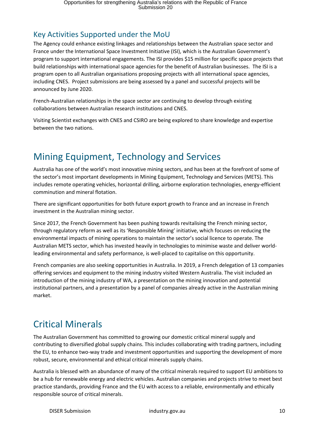#### Key Activities Supported under the MoU

The Agency could enhance existing linkages and relationships between the Australian space sector and France under the International Space Investment Initiative (ISI), which is the Australian Government's program to support international engagements. The ISI provides \$15 million for specific space projects that build relationships with international space agencies for the benefit of Australian businesses. The ISI is a program open to all Australian organisations proposing projects with all international space agencies, including CNES. Project submissions are being assessed by a panel and successful projects will be announced by June 2020.

French-Australian relationships in the space sector are continuing to develop through existing collaborations between Australian research institutions and CNES.

Visiting Scientist exchanges with CNES and CSIRO are being explored to share knowledge and expertise between the two nations.

# <span id="page-9-0"></span>Mining Equipment, Technology and Services

Australia has one of the world's most innovative mining sectors, and has been at the forefront of some of the sector's most important developments in Mining Equipment, Technology and Services (METS). This includes remote operating vehicles, horizontal drilling, airborne exploration technologies, energy-efficient comminution and mineral flotation.

There are significant opportunities for both future export growth to France and an increase in French investment in the Australian mining sector.

Since 2017, the French Government has been pushing towards revitalising the French mining sector, through regulatory reform as well as its 'Responsible Mining' initiative, which focuses on reducing the environmental impacts of mining operations to maintain the sector's social licence to operate. The Australian METS sector, which has invested heavily in technologies to minimise waste and deliver worldleading environmental and safety performance, is well-placed to capitalise on this opportunity.

French companies are also seeking opportunities in Australia. In 2019, a French delegation of 13 companies offering services and equipment to the mining industry visited Western Australia. The visit included an introduction of the mining industry of WA, a presentation on the mining innovation and potential institutional partners, and a presentation by a panel of companies already active in the Australian mining market.

#### <span id="page-9-1"></span>Critical Minerals

The Australian Government has committed to growing our domestic critical mineral supply and contributing to diversified global supply chains. This includes collaborating with trading partners, including the EU, to enhance two-way trade and investment opportunities and supporting the development of more robust, secure, environmental and ethical critical minerals supply chains.

Australia is blessed with an abundance of many of the critical minerals required to support EU ambitions to be a hub for renewable energy and electric vehicles. Australian companies and projects strive to meet best practice standards, providing France and the EU with access to a reliable, environmentally and ethically responsible source of critical minerals.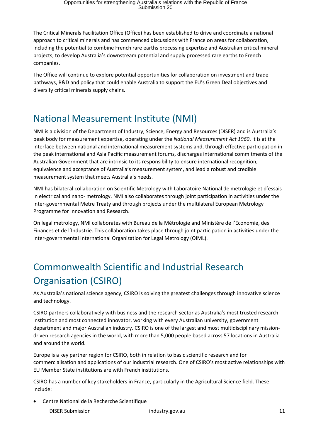The Critical Minerals Facilitation Office (Office) has been established to drive and coordinate a national approach to critical minerals and has commenced discussions with France on areas for collaboration, including the potential to combine French rare earths processing expertise and Australian critical mineral projects, to develop Australia's downstream potential and supply processed rare earths to French companies.

The Office will continue to explore potential opportunities for collaboration on investment and trade pathways, R&D and policy that could enable Australia to support the EU's Green Deal objectives and diversify critical minerals supply chains.

#### <span id="page-10-0"></span>National Measurement Institute (NMI)

NMI is a division of the Department of Industry, Science, Energy and Resources (DISER) and is Australia's peak body for measurement expertise, operating under the *National Measurement Act 1960*. It is at the interface between national and international measurement systems and, through effective participation in the peak international and Asia Pacific measurement forums, discharges international commitments of the Australian Government that are intrinsic to its responsibility to ensure international recognition, equivalence and acceptance of Australia's measurement system, and lead a robust and credible measurement system that meets Australia's needs.

NMI has bilateral collaboration on Scientific Metrology with Laboratoire National de metrologie et d'essais in electrical and nano- metrology. NMI also collaborates through joint participation in activities under the inter-governmental Metre Treaty and through projects under the multilateral European Metrology Programme for Innovation and Research.

On legal metrology, NMI collaborates with Bureau de la Métrologie and Ministère de l'Economie, des Finances et de l'Industrie. This collaboration takes place through joint participation in activities under the inter-governmental International Organization for Legal Metrology (OIML).

# <span id="page-10-1"></span>Commonwealth Scientific and Industrial Research Organisation (CSIRO)

As Australia's national science agency, CSIRO is solving the greatest challenges through innovative science and technology.

CSIRO partners collaboratively with business and the research sector as Australia's most trusted research institution and most connected innovator, working with every Australian university, government department and major Australian industry. CSIRO is one of the largest and most multidisciplinary missiondriven research agencies in the world, with more than 5,000 people based across 57 locations in Australia and around the world.

Europe is a key partner region for CSIRO, both in relation to basic scientific research and for commercialisation and applications of our industrial research. One of CSIRO's most active relationships with EU Member State institutions are with French institutions.

CSIRO has a number of key stakeholders in France, particularly in the Agricultural Science field. These include:

Centre National de la Recherche Scientifique

DISER Submission industry.gov.au industry.gov.au 11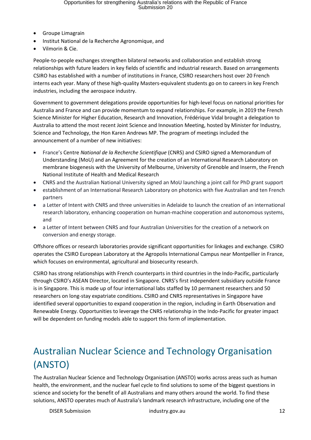- Groupe Limagrain
- Institut National de la Recherche Agronomique, and
- Vilmorin & Cie.

People-to-people exchanges strengthen bilateral networks and collaboration and establish strong relationships with future leaders in key fields of scientific and industrial research. Based on arrangements CSIRO has established with a number of institutions in France, CSIRO researchers host over 20 French interns each year. Many of these high-quality Masters-equivalent students go on to careers in key French industries, including the aerospace industry.

Government to government delegations provide opportunities for high-level focus on national priorities for Australia and France and can provide momentum to expand relationships. For example, in 2019 the French Science Minister for Higher Education, Research and Innovation, Frédérique Vidal brought a delegation to Australia to attend the most recent Joint Science and Innovation Meeting, hosted by Minister for Industry, Science and Technology, the Hon Karen Andrews MP. The program of meetings included the announcement of a number of new initiatives:

- France's Centre *National de la Recherche Scientifique* (CNRS) and CSIRO signed a Memorandum of Understanding (MoU) and an Agreement for the creation of an International Research Laboratory on membrane biogenesis with the University of Melbourne, University of Grenoble and Inserm, the French National Institute of Health and Medical Research
- CNRS and the Australian National University signed an MoU launching a joint call for PhD grant support
- establishment of an International Research Laboratory on photonics with five Australian and ten French partners
- a Letter of Intent with CNRS and three universities in Adelaide to launch the creation of an international research laboratory, enhancing cooperation on human-machine cooperation and autonomous systems, and
- a Letter of Intent between CNRS and four Australian Universities for the creation of a network on conversion and energy storage.

Offshore offices or research laboratories provide significant opportunities for linkages and exchange. CSIRO operates the CSIRO European Laboratory at the Agropolis International Campus near Montpellier in France, which focuses on environmental, agricultural and biosecurity research.

CSIRO has strong relationships with French counterparts in third countries in the Indo-Pacific, particularly through CSIRO's ASEAN Director, located in Singapore. CNRS's first independent subsidiary outside France is in Singapore. This is made up of four international labs staffed by 10 permanent researchers and 50 researchers on long-stay expatriate conditions. CSIRO and CNRS representatives in Singapore have identified several opportunities to expand cooperation in the region, including in Earth Observation and Renewable Energy. Opportunities to leverage the CNRS relationship in the Indo-Pacific for greater impact will be dependent on funding models able to support this form of implementation.

# <span id="page-11-0"></span>Australian Nuclear Science and Technology Organisation (ANSTO)

The Australian Nuclear Science and Technology Organisation (ANSTO) works across areas such as human health, the environment, and the nuclear fuel cycle to find solutions to some of the biggest questions in science and society for the benefit of all Australians and many others around the world. To find these solutions, ANSTO operates much of Australia's landmark research infrastructure, including one of the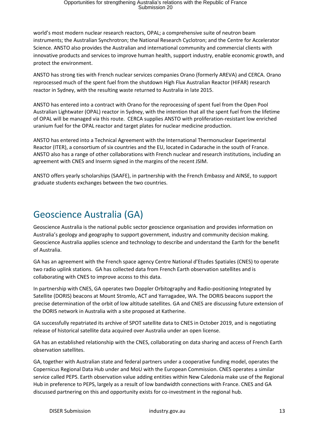world's most modern nuclear research reactors, OPAL; a comprehensive suite of neutron beam instruments; the Australian Synchrotron; the National Research Cyclotron; and the Centre for Accelerator Science. ANSTO also provides the Australian and international community and commercial clients with innovative products and services to improve human health, support industry, enable economic growth, and protect the environment.

ANSTO has strong ties with French nuclear services companies Orano (formerly AREVA) and CERCA. Orano reprocessed much of the spent fuel from the shutdown High Flux Australian Reactor (HIFAR) research reactor in Sydney, with the resulting waste returned to Australia in late 2015.

ANSTO has entered into a contract with Orano for the reprocessing of spent fuel from the Open Pool Australian Lightwater (OPAL) reactor in Sydney, with the intention that all the spent fuel from the lifetime of OPAL will be managed via this route. CERCA supplies ANSTO with proliferation-resistant low enriched uranium fuel for the OPAL reactor and target plates for nuclear medicine production.

ANSTO has entered into a Technical Agreement with the International Thermonuclear Experimental Reactor (ITER), a consortium of six countries and the EU, located in Cadarache in the south of France. ANSTO also has a range of other collaborations with French nuclear and research institutions, including an agreement with CNES and Inserm signed in the margins of the recent JSIM.

ANSTO offers yearly scholarships (SAAFE), in partnership with the French Embassy and AINSE, to support graduate students exchanges between the two countries.

#### <span id="page-12-0"></span>Geoscience Australia (GA)

Geoscience Australia is the national public sector geoscience organisation and provides information on Australia's geology and geography to support government, industry and community decision making. Geoscience Australia applies science and technology to describe and understand the Earth for the benefit of Australia.

GA has an agreement with the French space agency Centre National d'Etudes Spatiales (CNES) to operate two radio uplink stations. GA has collected data from French Earth observation satellites and is collaborating with CNES to improve access to this data.

In partnership with CNES, GA operates two Doppler Orbitography and Radio-positioning Integrated by Satellite (DORIS) beacons at Mount Stromlo, ACT and Yarragadee, WA. The DORIS beacons support the precise determination of the orbit of low altitude satellites. GA and CNES are discussing future extension of the DORIS network in Australia with a site proposed at Katherine.

GA successfully repatriated its archive of SPOT satellite data to CNES in October 2019, and is negotiating release of historical satellite data acquired over Australia under an open license.

GA has an established relationship with the CNES, collaborating on data sharing and access of French Earth observation satellites.

GA, together with Australian state and federal partners under a cooperative funding model, operates the Copernicus Regional Data Hub under and MoU with the European Commission. CNES operates a similar service called PEPS. Earth observation value adding entities within New Caledonia make use of the Regional Hub in preference to PEPS, largely as a result of low bandwidth connections with France. CNES and GA discussed partnering on this and opportunity exists for co-investment in the regional hub.